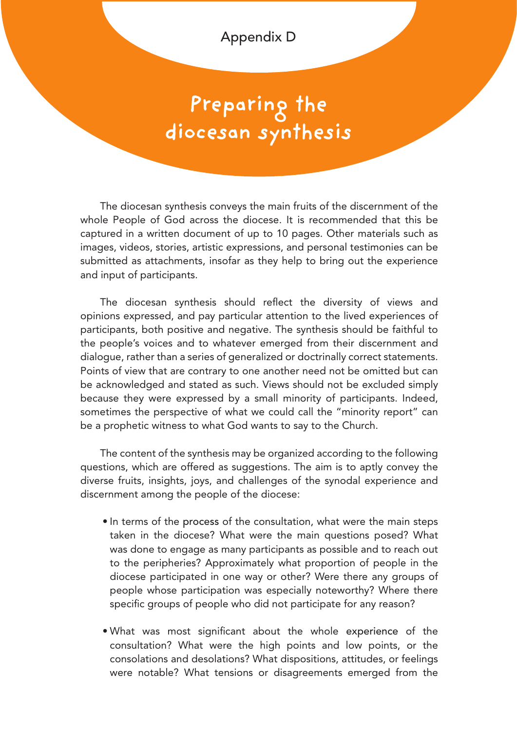Appendix D

## **Preparing the diocesan synthesis**

The diocesan synthesis conveys the main fruits of the discernment of the whole People of God across the diocese. It is recommended that this be captured in a written document of up to 10 pages. Other materials such as images, videos, stories, artistic expressions, and personal testimonies can be submitted as attachments, insofar as they help to bring out the experience and input of participants.

The diocesan synthesis should reflect the diversity of views and opinions expressed, and pay particular attention to the lived experiences of participants, both positive and negative. The synthesis should be faithful to the people's voices and to whatever emerged from their discernment and dialogue, rather than a series of generalized or doctrinally correct statements. Points of view that are contrary to one another need not be omitted but can be acknowledged and stated as such. Views should not be excluded simply because they were expressed by a small minority of participants. Indeed, sometimes the perspective of what we could call the "minority report" can be a prophetic witness to what God wants to say to the Church.

The content of the synthesis may be organized according to the following questions, which are offered as suggestions. The aim is to aptly convey the diverse fruits, insights, joys, and challenges of the synodal experience and discernment among the people of the diocese:

- In terms of the process of the consultation, what were the main steps taken in the diocese? What were the main questions posed? What was done to engage as many participants as possible and to reach out to the peripheries? Approximately what proportion of people in the diocese participated in one way or other? Were there any groups of people whose participation was especially noteworthy? Where there specific groups of people who did not participate for any reason?
- What was most significant about the whole experience of the consultation? What were the high points and low points, or the consolations and desolations? What dispositions, attitudes, or feelings were notable? What tensions or disagreements emerged from the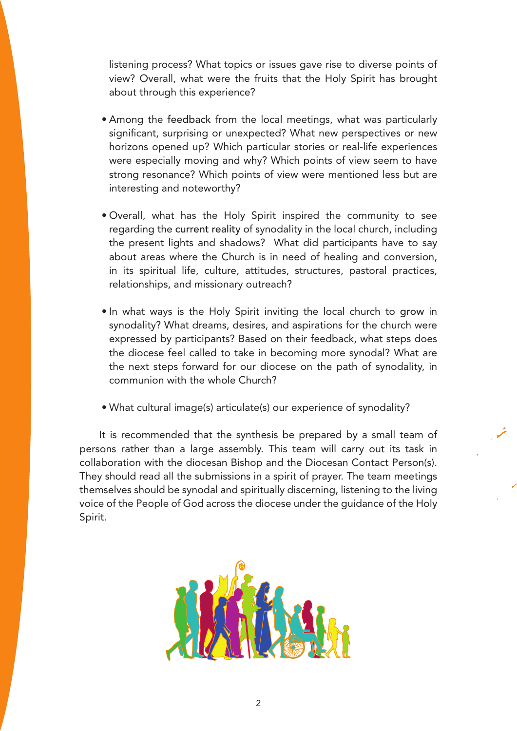listening process? What topics or issues gave rise to diverse points of view? Overall, what were the fruits that the Holy Spirit has brought about through this experience?

- Among the feedback from the local meetings, what was particularly significant, surprising or unexpected? What new perspectives or new horizons opened up? Which particular stories or real-life experiences were especially moving and why? Which points of view seem to have strong resonance? Which points of view were mentioned less but are interesting and noteworthy?
- Overall, what has the Holy Spirit inspired the community to see regarding the current reality of synodality in the local church, including the present lights and shadows? What did participants have to say about areas where the Church is in need of healing and conversion, in its spiritual life, culture, attitudes, structures, pastoral practices, relationships, and missionary outreach?
- In what ways is the Holy Spirit inviting the local church to grow in synodality? What dreams, desires, and aspirations for the church were expressed by participants? Based on their feedback, what steps does the diocese feel called to take in becoming more synodal? What are the next steps forward for our diocese on the path of synodality, in communion with the whole Church?
- What cultural image(s) articulate(s) our experience of synodality?

It is recommended that the synthesis be prepared by a small team of persons rather than a large assembly. This team will carry out its task in collaboration with the diocesan Bishop and the Diocesan Contact Person(s). They should read all the submissions in a spirit of prayer. The team meetings themselves should be synodal and spiritually discerning, listening to the living voice of the People of God across the diocese under the guidance of the Holy Spirit.